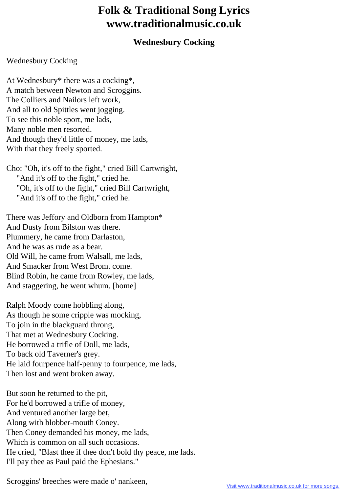## **Folk & Traditional Song Lyrics www.traditionalmusic.co.uk**

## **Wednesbury Cocking**

## Wednesbury Cocking

At Wednesbury\* there was a cocking\*, A match between Newton and Scroggins. The Colliers and Nailors left work, And all to old Spittles went jogging. To see this noble sport, me lads, Many noble men resorted. And though they'd little of money, me lads, With that they freely sported.

Cho: "Oh, it's off to the fight," cried Bill Cartwright, "And it's off to the fight," cried he. "Oh, it's off to the fight," cried Bill Cartwright, "And it's off to the fight," cried he.

There was Jeffory and Oldborn from Hampton\* And Dusty from Bilston was there. Plummery, he came from Darlaston, And he was as rude as a bear. Old Will, he came from Walsall, me lads, And Smacker from West Brom. come. Blind Robin, he came from Rowley, me lads, And staggering, he went whum. [home]

Ralph Moody come hobbling along, As though he some cripple was mocking, To join in the blackguard throng, That met at Wednesbury Cocking. He borrowed a trifle of Doll, me lads, To back old Taverner's grey. He laid fourpence half-penny to fourpence, me lads, Then lost and went broken away.

But soon he returned to the pit, For he'd borrowed a trifle of money, And ventured another large bet, Along with blobber-mouth Coney. Then Coney demanded his money, me lads, Which is common on all such occasions. He cried, "Blast thee if thee don't bold thy peace, me lads. I'll pay thee as Paul paid the Ephesians."

Scroggins' breeches were made o' nankeen,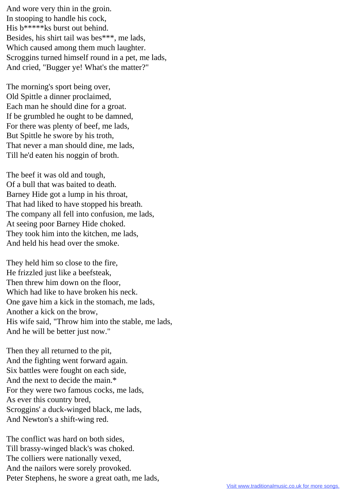And wore very thin in the groin. In stooping to handle his cock, His b\*\*\*\*\*ks burst out behind. Besides, his shirt tail was bes\*\*\*, me lads, Which caused among them much laughter. Scroggins turned himself round in a pet, me lads, And cried, "Bugger ye! What's the matter?"

The morning's sport being over, Old Spittle a dinner proclaimed, Each man he should dine for a groat. If be grumbled he ought to be damned, For there was plenty of beef, me lads, But Spittle he swore by his troth, That never a man should dine, me lads, Till he'd eaten his noggin of broth.

The beef it was old and tough, Of a bull that was baited to death. Barney Hide got a lump in his throat, That had liked to have stopped his breath. The company all fell into confusion, me lads, At seeing poor Barney Hide choked. They took him into the kitchen, me lads, And held his head over the smoke.

They held him so close to the fire, He frizzled just like a beefsteak, Then threw him down on the floor, Which had like to have broken his neck. One gave him a kick in the stomach, me lads, Another a kick on the brow, His wife said, "Throw him into the stable, me lads, And he will be better just now."

Then they all returned to the pit, And the fighting went forward again. Six battles were fought on each side, And the next to decide the main.\* For they were two famous cocks, me lads, As ever this country bred, Scroggins' a duck-winged black, me lads, And Newton's a shift-wing red.

The conflict was hard on both sides, Till brassy-winged black's was choked. The colliers were nationally vexed, And the nailors were sorely provoked. Peter Stephens, he swore a great oath, me lads,